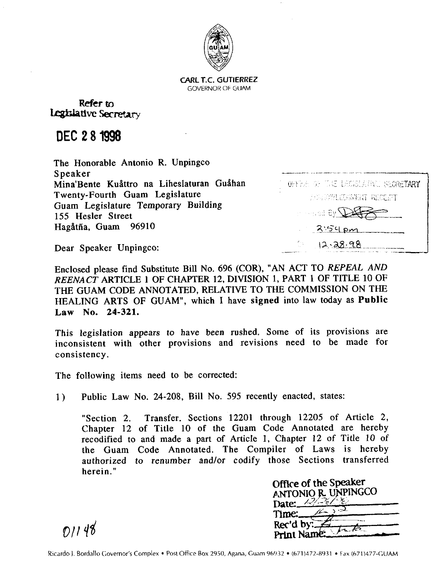

**CARL T.C. GUTIERREZ**  GOVERNOR OF GUAM

Refer to Legislative Secretary

DEC **2 8 1998** 

The Honorable Antonio R. Unpingco<br>Speaker Mina'Bente Kuåttro na Liheslaturan Guåhan Twenty-Fourth Guam Legislature Guam Legislature Temporary Building 155 Hesler Street Hagåtña, Guam 96910  $\lambda$   $\leq$   $\epsilon$ 

OFFICE OF THE LECKLATIVE SECRETARY ANNOWLEDGMENT RECENT  $\mathcal{F}_{\mathtt{V}}$ 8 belleving  $12.28.98$ 

Dear Speaker Unpingco:

Enclosed please find Substitute Bill No. 696 (COR), "AN ACT TO *REPEAL AND REENACT* ARTICLE *1* OF CHAPTER 12, DIVISION 1, PART 1 OF TITLE 10 OF THE GUAM CODE ANNOTATED, RELATIVE TO THE COMMISSION ON THE HEALING ARTS OF GUAM", which I have signed into law today as Public Law No. **24-321.** 

This legislation appears to have been rushed. Some of its provisions are inconsistent with other provisions and revisions need to be made for consistency.

The following items need to be corrected:

1) Public Law No. 24-208, Bill No. 595 recently enacted, states:

"Section 2. Transfer. Sections 12201 through 12205 of Article 2, Chapter 12 of Title 10 of the Guam Code Annotated are hereby recodified to and made a part of Article 1, Chapter 12 of Title 10 of the Guam Code Annotated. The Compiler of Laws is hereby authorized to renumber and/or codify those Sections transferred herein."

|         |                         | nose Sections transferred               |
|---------|-------------------------|-----------------------------------------|
|         | Office of the Speaker   |                                         |
|         | antonio r. unpingco     |                                         |
|         | Date: $\angle\%$        |                                         |
| Time:__ |                         |                                         |
|         | Rec'd by:<br>Print Name |                                         |
|         |                         | 932 ● (671)472-8931 ● Fax (671)477-GUAM |

 $01148$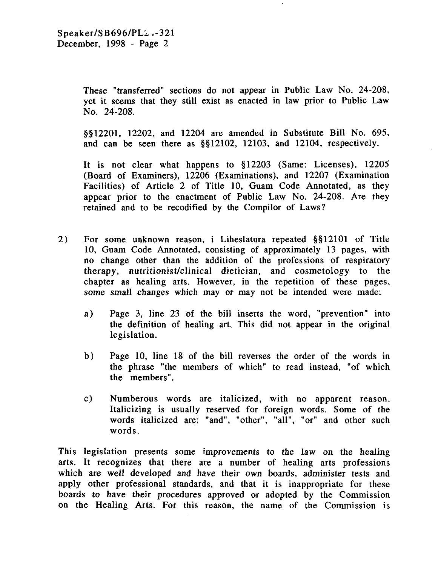These "transferred" sections do not appear in Public Law No. 24-208, yet it seems that they still exist as enacted in law prior to Public Law NO. 24-208.

5512201, 12202, and 12204 are amended in Substitute Bill No. 695, and can be seen there as  $\S$ \$12102, 12103, and 12104, respectively.

It is not clear what happens to  $\S 12203$  (Same: Licenses), 12205 (Board of Examiners), 12206 (Examinations), and 12207 (Examination Facilities) of Article 2 of Title 10, Guam Code Annotated, as they appear prior to the enactment of Public Law No. 24-208. Are they retained and to be recodified by the Compilor of Laws?

- 2) For some unknown reason, i Liheslatura repeated \$\$12101 of Title 10, Guam Code Annotated, consisting of approximately 13 pages, with no change other than the addition of the professions of respiratory therapy, nutritionist/clinical dietician, and cosmetology to the chapter as healing arts. However, in the repetition of these pages, some small changes which may or may not be intended were made:
	- a) Page 3, line 23 of the bill inserts the word, "prevention" into the definition of healing art. This did not appear in the original legislation.
	- b) Page 10, line 18 of the bill reverses the order of the words in the phrase "the members of which" to read instead, "of which the members".
	- C) Numberous words are italicized, with no apparent reason. Italicizing is usually reserved for foreign words. Some of the words italicized are: "and", "other", "all", "or" and other such words.

This legislation presents some improvements to the law on the healing arts. It recognizes that there are a number of healing arts professions which are well developed and have their own boards, administer tests and apply other professional standards, and that it is inappropriate for these boards to have their procedures approved or adopted by the Commission on the Healing Arts. For this reason, the name of the Commission is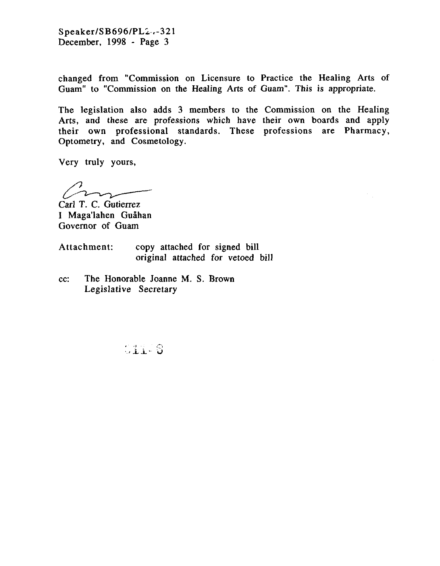Speaker/SB696/PL2.-321 December, 1998 - Page 3

changed from "Commission on Licensure to Practice the Healing Arts of Guam" to "Commission on the Healing Arts of Guam". This is appropriate.

The legislation also adds 3 members to the Commission on the Healing Arts, and these are professions which have their own boards and apply their own professional standards. These professions are Pharmacy, Optometry, and Cosmetology.

Very truly yours,

 $\mathcal{C}$ 

Carl T. C. Gutierrez I Maga'lahen Guåhan Governor of Guam

Attachment: copy attached for signed bill original attached for vetoed bill

cc: The Honorable Joanne M. S. Brown Legislative Secretary

 $011-8$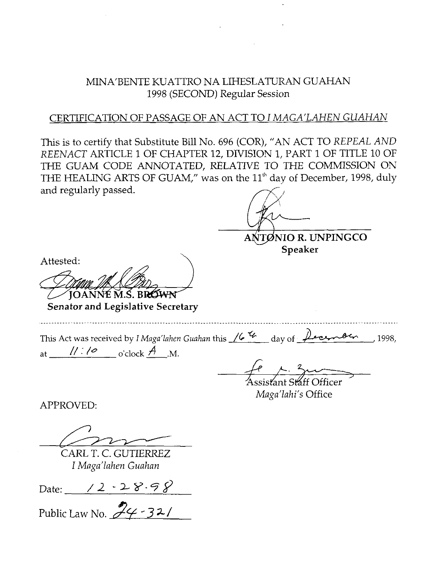# MINA'BENTE KUATTRO NA LIHESLATURAN GUAHAN 1998 (SECOND) Regular Session

### CERTIFICATION OF PASSAGE OF AN ACT TO I *MAGA'LAHEN GUAHAN*

This is to certify that Substitute Bill No. 696 (COR), "AN ACT TO *REPEAL AND REENACT* ARTICLE 1 OF CHAPTER 12, DIVISION 1, PART 1 OF TITLE 10 OF THE GUAM CODE ANNOTATED, RELATIVE TO THE COMMISSION ON THE HEALING ARTS OF GUAM," was on the 11<sup>th</sup> day of December, 1998, duly and regularly passed.

**ANTØNIO R. UNPINGCO**<br> **Speaker** 

Attested:

**senator and Legislative Secretary** 

This Act was received by *iMagariahm Guahon* this */6* day of ,1998, **Senator and Legislative Secretar**<br>This Act was received by *I Maga'lahen Gu*<br>at  $\frac{1! \cdot 10^{10} \text{ C}}{4! \cdot 4! \cdot 4! \cdot 4!}$  o'clock  $\frac{A}{1}$ . M.

 $k.$  3 mains

Assistant Staff Officer *Maga'lahi's* Office

APPROVED:

CARL T. C. GUTIERREZ I *Maga'lahen Guahan* 

Date: <u> / 2 ~2 %·ラ</u>。

Public Law No.  $\mathscr{Z}_{\mathscr{C}}$  -32/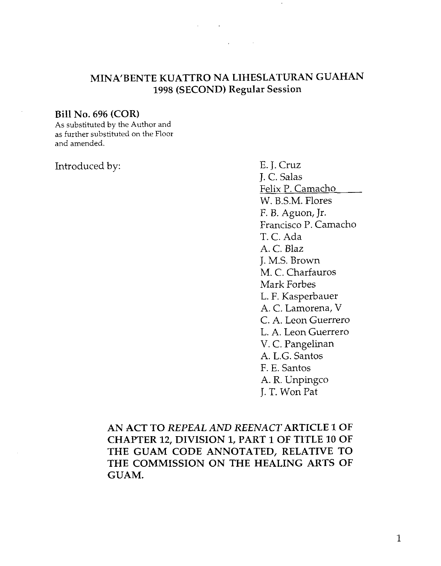# **MINA'BENTE KUATTRO NA LIHESLATURAN GUAHAN 1998 (SECOND) Regular Session**

 $\mathcal{L}^{\mathcal{L}}(\mathcal{L}^{\mathcal{L}}(\mathcal{L}^{\mathcal{L}}(\mathcal{L}^{\mathcal{L}}(\mathcal{L}^{\mathcal{L}}(\mathcal{L}^{\mathcal{L}}(\mathcal{L}^{\mathcal{L}}(\mathcal{L}^{\mathcal{L}})))$ 

#### **Bill No. 696 (COR)**

**As** substituted by the Author and as further substituted on the Floor and amended.

Introduced by: E. J. Cruz

J. C. Salas Felix P. Camacho W. B.S.M. Flores F. B. Aguon, Jr. Francisco P. Camacho T. C. Ada A. C. Blaz J. M.S. Brown M. C. Charfauros Mark Forbes L. F. Kasperbauer A. C. Lamorena, V C. A. Leon Guerrero L. A. Leon Guerrero V. C. Pangelinan A. L.G. Santos F. E. Santos A. R. Unpingco J. T. Won Pat

**AN ACT TO** *REPEAL AND REENACT* **ARTICLE** *1* **OF CHAPTER 12, DIVISION 1, PART 1 OF TITLE 10 OF THE GUAM CODE ANNOTATED, RELATIVE TO THE COMMISSION ON THE HEALING ARTS OF GUAM.**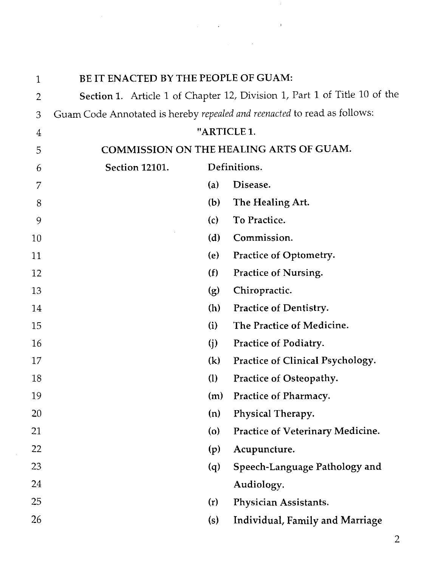BE IT ENACTED BY THE PEOPLE OF GUAM:  $\mathbf{1}$ Section **1.** Article 1 of Chapter 12, Division 1, Part 1 of Title 10 of the  $\overline{2}$ Guam Code Annotated is hereby *repealed and reenacted* to read as follows: 3 "ARTICLE **1.**   $\overline{4}$ COMMISSION ON THE HEALING ARTS OF GUAM. 5 Section **12101.** Definitions. 6 (a) Disease.  $\overline{7}$ 8 (b) The Healing Art. (c) To Practice. 9 10 (d) Commission. (e) Practice of Optometry. 11 (f) Practice of Nursing. 12 **(g)** Chiropractic. 13 (h) Practice of Dentistry. 14 (i) The Practice of Medicine. 15 16 **(j)** Practice of Podiatry. **(k)** Practice of Clinical Psychology. 17 18 (1) Practice of Osteopathy. 19 (m) Practice of Pharmacy. 20 (n) Physical Therapy. 21 (0) Practice of Veterinary Medicine. 22 (p) Acupuncture. 23 (q) Speech-Language Pathology and 24 Audiology. 25 (r) Physician Assistants. 26 (s) Individual, Family and Marriage

 $\Delta\phi$  and  $\Delta\phi$  are the second contributions of  $\Omega$ 

 $\label{eq:2.1} \mathcal{L}(\mathcal{L}^{\text{max}}_{\mathcal{L}}(\mathcal{L}^{\text{max}}_{\mathcal{L}})) \leq \mathcal{L}(\mathcal{L}^{\text{max}}_{\mathcal{L}}(\mathcal{L}^{\text{max}}_{\mathcal{L}}))$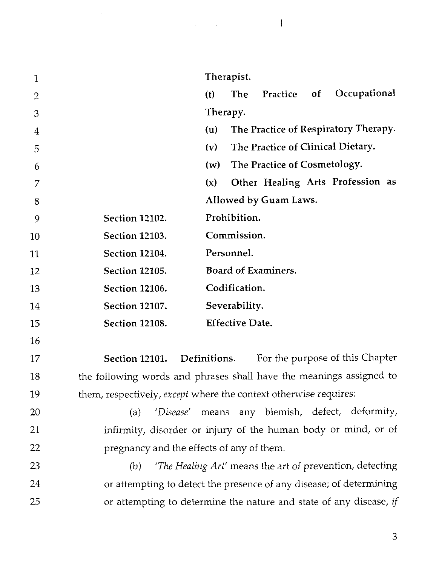Therapist. 1 (t) The Practice of Occupational  $\overline{2}$ Therapy. 3 (u) The Practice of Respiratory Therapy.  $\overline{4}$ (v) The Practice of Clinical Dietary. 5 (w) The Practice of Cosmetology. 6 **(XI** Other Healing Arts Profession as  $\overline{7}$ Allowed by Guam Laws. 8 Section **12102.** Prohibition. 9 Section **12103.** Commission.  $10$ Section **12104.** Personnel. 11 Section **12105.** Board of Examiners. 12 Section **12106.** Codification. 13 Section **12107.** Severability. 14 Section **12108.** Effective Date. 15  $16$ Section **12101.** Definitions. For the purpose of this Chapter 17 the following words and phrases shall have the meanings assigned to 18 19 them, respectively, except where the context otherwise requires: 20 (a) *'Disease'* means any blemish, defect, deformity, infirmity, disorder or injury of the human body or mind, or of  $21$ 22 pregnancy and the effects of any of them. (b) *'The Healing Art'* means the art of prevention, detecting 23

24 or attempting to detect the presence of any disease; of determining 25 or attempting to determine the nature and state of any disease, if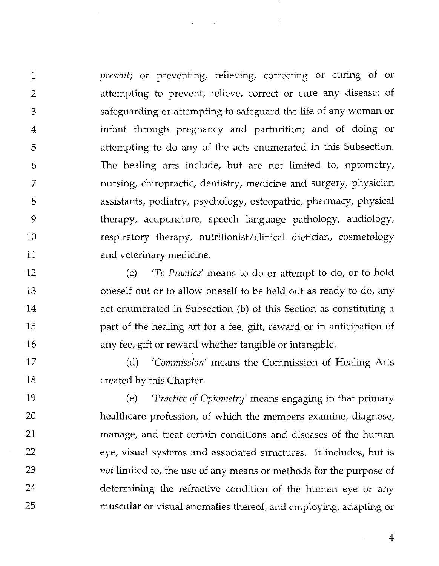*present;* or preventing, relieving, correcting or curing of or  $\mathbf{1}$ attempting to prevent, relieve, correct or cure any disease; of  $\overline{2}$ safeguarding or attempting to safeguard the life of any woman or 3 infant through pregnancy and parturition; and of doing or  $\overline{4}$ attempting to do any of the acts enumerated in this Subsection. 5 The healing arts include, but are not limited to, optometry, 6 7 nursing, chiropractic, dentistry, medicine and surgery, physician assistants, podiatry, psychology, osteopathic, pharmacy, physical 8 9 therapy, acupuncture, speech language pathology, audiology, respiratory therapy, nutritionist/clinical dietician, cosmetology 10 11 and veterinary medicine.

 $\mathcal{L}$ 

 $\overline{1}$ 

12 (c) *'To Practice'* means to do or attempt to do, or to hold 13 oneself out or to allow oneself to be held out as ready to do, any 14 act enumerated in Subsection (b) of this Section as constituting a 15 part of the healing art for a fee, gift, reward or in anticipation of 16 any fee, gift or reward whether tangible or intangible.

17 (d) *'Commission'* means the Commission of Healing Arts created by this Chapter. 18

19 (e) *'Practice of Optometry'* means engaging in that primary 20 healthcare profession, of which the members examine, diagnose, 21 manage, and treat certain conditions and diseases of the human 22 eye, visual systems and associated structures. It includes, but is 23 *not* limited to, the use of any means or methods for the purpose of 24 determining the refractive condition of the human eye or any 25 muscular or visual anomalies thereof, and employing, adapting or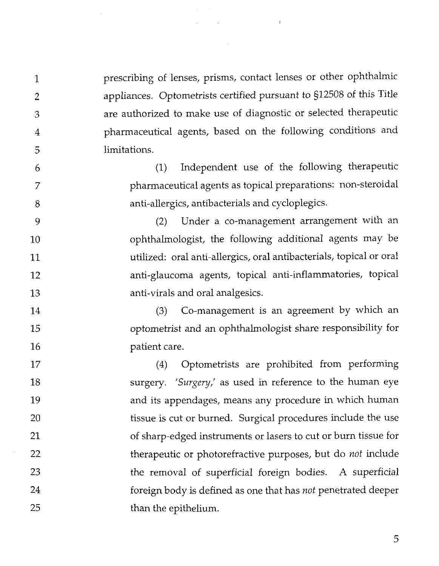prescribing of lenses, prisms, contact lenses or other ophthalmic appliances. Optometrists certified pursuant to §I2508 of this Title are authorized to make use of diagnostic or selected therapeutic pharmaceutical agents, based on the following conditions and limitations.

 $\mathbf{1}$ 

 $\overline{2}$ 

3

4

5

6

7

8

9

10

11

 $12$ 

13

(1) Independent use of the following therapeutic pharmaceutical agents as topical preparations: non-steroidal anti-allergics, antibacterials and cycloplegics.

(2) Under a co-management arrangement with an ophthalmologist, the following additional agents may be utilized: oral anti-allergics, oral antibacterials, topical or oral anti-glaucoma agents, topical anti-inflammatories, topical anti-virals and oral analgesics.

(3) Co-management is an agreement by which an 14 optometrist and an ophthalmologist share responsibility for 15 16 patient care.

(4) Optometrists are prohibited from performing 17 surgery. 'Surgery,' as used in reference to the human eye 18 19 and its appendages, means any procedure in which human 20 tissue is cut or burned. Surgical procedures include the use of sharp-edged instruments or lasers to cut or burn tissue for 21 22 therapeutic or photorefractive purposes, but do *not* include 23 the removal of superficial foreign bodies. A superficial 24 foreign body is defined as one that has *not* penetrated deeper 25 than the epithelium.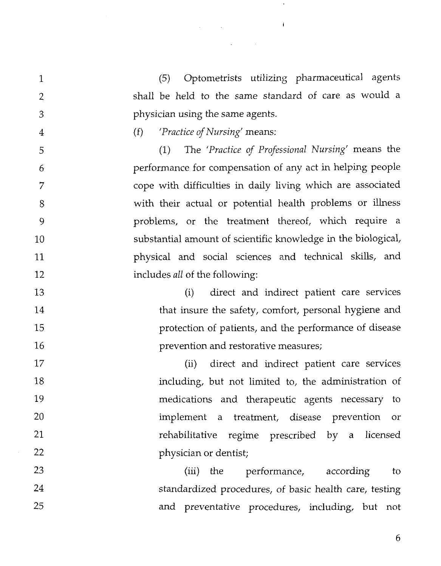(5) Optometrists utilizing pharmaceutical agents shall be held to the same standard of care as would a physician using the same agents.

 $\mathfrak{t}$ 

 $\label{eq:2.1} \mathcal{L}(\mathcal{L}^{\text{c}}_{\text{c}}(\mathcal{L}^{\text{c}}_{\text{c}})) = \mathcal{L}(\mathcal{L}^{\text{c}}_{\text{c}}(\mathcal{L}^{\text{c}}_{\text{c}})) = \mathcal{L}(\mathcal{L}^{\text{c}}_{\text{c}}(\mathcal{L}^{\text{c}}_{\text{c}})) = \mathcal{L}(\mathcal{L}^{\text{c}}_{\text{c}}(\mathcal{L}^{\text{c}}_{\text{c}}))$ 

 $\mathcal{L}(\mathcal{L}^{\mathcal{L}})$  and  $\mathcal{L}(\mathcal{L}^{\mathcal{L}})$  and  $\mathcal{L}(\mathcal{L}^{\mathcal{L}})$ 

 $\overline{4}$ 

 $\mathbf{1}$ 

2

3

5

6

7

8

9

10

11

12

17

18

19

20

21

22

### (f) *'Practice of Nursing'* means:

(1) The *'Practice of Professional Nursing'* means the performance for compensation of any act in helping people cope with difficulties in daily living which are associated with their actual or potential health problems or illness problems, or the treatment thereof, which require a substantial amount of scientific knowledge in the biological, physical and social sciences and technical skills, and includes *all* of the following:

(i) direct and indirect patient care services 13 14 that insure the safety, comfort, personal hygiene and 15 protection of patients, and the performance of disease 16 prevention and restorative measures;

(ii) direct and indirect patient care services including, but not limited to, the administration of medications and therapeutic agents necessary to implement a treatment, disease prevention or rehabilitative regime prescribed by a licensed physician or dentist;

23 (iii) the performance, according to 24 standardized procedures, of basic health care, testing 25 and preventative procedures, including, but not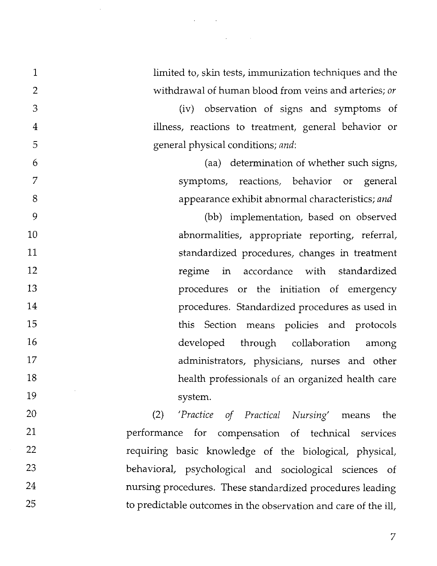$\mathbf{1}$ limited to, skin tests, immunization techniques and the  $\overline{2}$ withdrawal of human blood from veins and arteries; *or*  3 (iv) observation of signs and symptoms of  $\overline{4}$ illness, reactions to treatment, general behavior or 5 general physical conditions; *and:*  (aa) determination of whether such signs, 6 7 symptoms, reactions, behavior or general 8 appearance exhibit abnormal characteristics; *and*  9 (bb) implementation, based on observed abnormalities, appropriate reporting, referral, 10 11 standardized procedures, changes in treatment 12 regime in accordance with standardized 13 procedures or the initiation of emergency 14 procedures. Standardized procedures as used in this Section means policies and protocols 15 16 developed through collaboration among 17 administrators, physicians, nurses and other 18 health professionals of an organized health care 19 system. 20 *(2) 'Practice of Practical Nursing'* means the 21 performance for compensation of technical services 22 requiring basic knowledge of the biological, physical, 23 behavioral, psychological and sociological sciences of

24

25

 $\Delta \phi = 0.01$  and  $\Delta \phi$ 

nursing procedures. These standardized procedures leading

to predictable outcomes in the observation and care of the ill,

 $\overline{7}$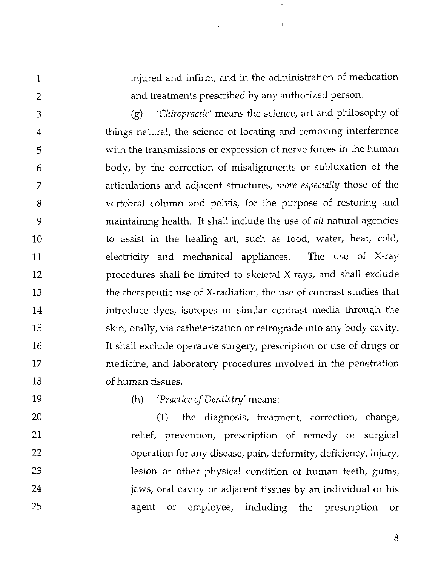injured and infirm, and in the administration of medication and treatments prescribed by any authorized person.

 $\mathbf{I}$ 

(g) *'Chiropractic'* means the science, art and philosophy of 3 things natural, the science of locating and removing interference 4 with the transmissions or expression of nerve forces in the human 5 body, by the correction of misalignments or subluxation of the 6 articulations and adjacent structures, *more especially* those of the 7 vertebral column and pelvis, for the purpose of restoring and 8 maintaining health. It shall include the use of *all* natural agencies 9 to assist in the healing art, such as food, water, heat, cold, 10 electricity and mechanical appliances. The use of X-ray 11 procedures shall be limited to skeletal X-rays, and shall exclude 12 the therapeutic use of X-radiation, the use of contrast studies that 13 14 introduce dyes, isotopes or similar contrast media through the 15 skin, orally, via catheterization or retrograde into any body cavity. 16 It shall exclude operative surgery, prescription or use of drugs or 17 medicine, and laboratory procedures involved in the penetration of human tissues. 18

 $\mathcal{A}^{\mathcal{A}}$  and  $\mathcal{A}^{\mathcal{A}}$ 

19

 $\mathbf{1}$ 

 $\overline{2}$ 

# (h) *'Practice of Dentistry'* means:

20 (1) the diagnosis, treatment, correction, change, 21 relief, prevention, prescription of remedy or surgical 22 operation for any disease, pain, deformity, deficiency, injury, 23 lesion or other physical condition of human teeth, gums, 24 jaws, oral cavity or adjacent tissues by an individual or his 25 agent or employee, including the prescription or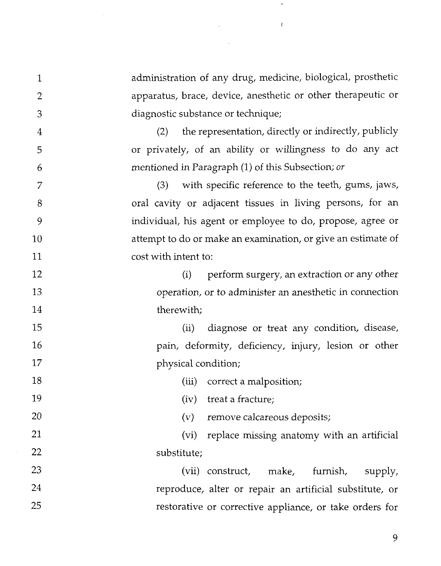administration of any drug, medicine, biological, prosthetic  $\mathbf{1}$ apparatus, brace, device, anesthetic or other therapeutic or  $\overline{2}$ diagnostic substance or technique; 3 (2) the representation, directIy or indirectly, publicly  $\overline{4}$ or privately, of an ability or willingness to do any act 5 mentioned in Paragraph (1) of this Subsection; or 6 *(3)* with specific reference to the teeth, gums, jaws, 7 oral cavity or adjacent tissues in living persons, for an 8 individual, his agent or employee to do, propose, agree or 9 attempt to do or make an examination, or give an estimate of 10  $11$ cost with intent to:  $12$ (i) perform surgery, an extraction or any other 13 operation, or to administer an anesthetic in connection 14 therewith; 15 (ii) diagnose or treat any condition, disease, pain, deformity, deficiency, injury, lesion or other 16 17 physical condition; 18 (iii) correct a malposition; 19 (iv) treat a fracture; 20 (v) remove calcareous deposits; 21 (vi) replace missing anatomy with an artificial 22 substitute; 23 (vii) construct, make, furnish, supply, 24 reproduce, alter or repair an artificial substitute, or 25 restorative or corrective appliance, or take orders for

 $\overline{1}$ 

 $\label{eq:2.1} \frac{1}{\sqrt{2}}\int_{\mathbb{R}^{2}}\left|\frac{d\mu}{d\mu}\right|^{2}d\mu\left(\frac{d\mu}{d\mu}\right)=\frac{1}{2}\int_{\mathbb{R}^{2}}\left|\frac{d\mu}{d\mu}\right|^{2}d\mu\left(\frac{d\mu}{d\mu}\right)=\frac{1}{2}\int_{\mathbb{R}^{2}}\left|\frac{d\mu}{d\mu}\right|^{2}d\mu\left(\frac{d\mu}{d\mu}\right)=\frac{1}{2}\int_{\mathbb{R}^{2}}\left|\frac{d\mu}{d\mu}\right|^{2}d\mu\left(\frac{d$ 

 $\mathcal{L}^{\text{max}}_{\text{max}}$  and  $\mathcal{L}^{\text{max}}_{\text{max}}$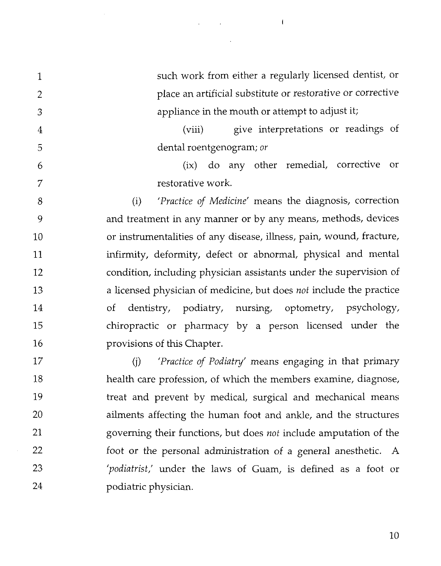$\mathfrak{t}$ 

such work from either a regularly licensed dentist, or  $\mathbf{1}$ place an artificial substitute or restorative or corrective  $\overline{2}$ appliance in the mouth or attempt to adjust it; 3 (viii) give interpretations or readings of  $\overline{4}$ dental roentgenogram; *or*  5 (ix) do any other remedial, corrective or 6  $\overline{7}$ restorative work. 8 (i) *'Practice of Medicine'* means the diagnosis, correction 9 and treatment in any manner or by any means, methods, devices or instrumentalities of any disease, illness, pain, wound, fracture, 10 infirmity, deformity, defect or abnormal, physical and mental 11 12 condition, including physician assistants under the supervision of a licensed physician of medicine, but does *not* include the practice 13 14 of dentistry, podiatry, nursing, optometry, psychology, chiropractic or pharmacy by a person licensed under the 15 16 provisions of this Chapter. (j) *'Practice of Podiatry'* means engaging in that primary 17 health care profession, of which the members examine, diagnose, 18 19 treat and prevent by medical, surgical and mechanical means 20 ailments affecting the human foot and ankle, and the structures 21 governing their functions, but does *not* include amputation of the 22 foot or the personal administration of a general anesthetic. A 23

*'podiatrist,'* under the laws of Guam, is defined as a foot or

24

podiatric physician.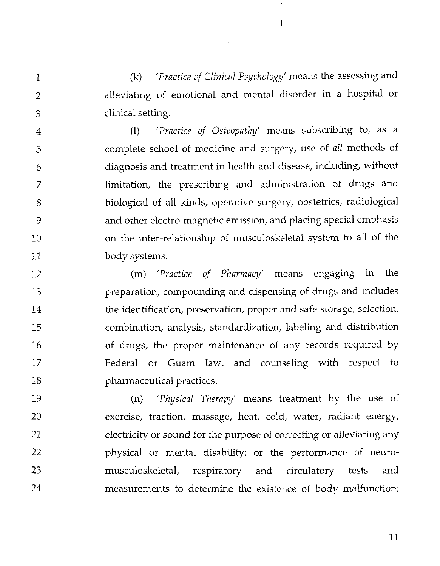(k) *'Practice of Clinical Psychology'* means the assessing and alleviating of emotional and mental disorder in a hospital or clinical setting.

 $\mathbf{1}$ 

 $\overline{2}$ 

3

(1) *'Practice of Osteopathy'* means subscribing to, as a 4 complete school of medicine and surgery, use of all methods of 5 diagnosis and treatment in health and disease, including, without 6 limitation, the prescribing and administration of drugs and 7 biological of all kinds, operative surgery, obstetrics, radiological 8 and other electro-magnetic emission, and placing special emphasis 9 on the inter-relationship of musculoskeletal system to all of the 10 11 body systems.

(m) *'Practice of Pharmacy'* means engaging in the 12 preparation, compounding and dispensing of drugs and includes 13 14 the identification, preservation, proper and safe storage, selection, combination, analysis, standardization, labeling and distribution 15 of drugs, the proper maintenance of any records required by 16 17 Federal or Guam Iaw, and counseling with respect to 18 pharmaceutical practices.

19 (n) *'Physical Therapy'* means treatment by the use of exercise, traction, massage, heat, cold, water, radiant energy, 20 21 electricity or sound for the purpose of correcting or alleviating any 22 physical or mental disability; or the performance of neuro-23 musculoskeletal, respiratory and circulatory tests and measurements to determine the existence of body malfunction; 24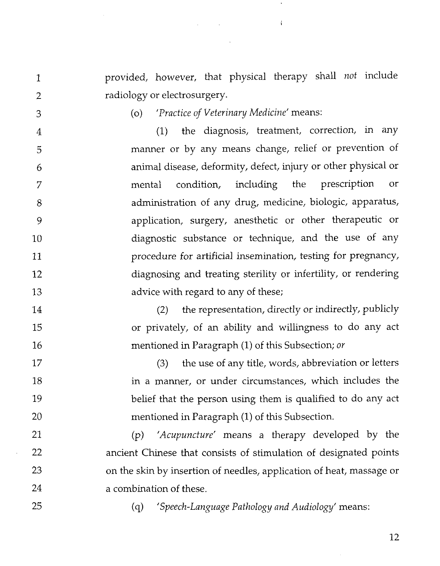provided, however, that physical therapy shall *not* include radiology or electrosurgery.

 $\mathcal{L}_{\rm{max}}$ 

 $\overline{2}$ 3

 $\mathbf{1}$ 

(0) *'Practice of Veterinary Medicine'* means:

(1) the diagnosis, treatment, correction, in any 4 manner or by any means change, relief or prevention of 5 animal disease, deformity, defect, injury or other physical or 6 mental condition, including the prescription or 7 administration of any drug, medicine, biologic, apparatus, 8 application, surgery, anesthetic or other therapeutic or 9 diagnostic substance or technique, and the use of any 10 11 procedure for artificial insemination, testing for pregnancy, diagnosing and treating sterility or infertility, or rendering 12 13 advice with regard to any of these;

(2) the representation, directly or indirectly, publicly or privately, of an ability and willingness to do any act mentioned in Paragraph (1) of this Subsection; *or* 

(3) the use of any title, words, abbreviation or letters in a manner, or under circumstances, which includes the belief that the person using them is qualified to do any act mentioned in Paragraph (1) of this Subsection.

21 (p) *'Acupuncture'* means a therapy developed by the 22 ancient Chinese that consists of stimulation of designated points 23 on the skin by insertion of needles, application of heat, massage or 24 a combination of these.

25

14

15

16

17

18

19

20

(q) *'Speech-Language Pathology and Audiology'* means: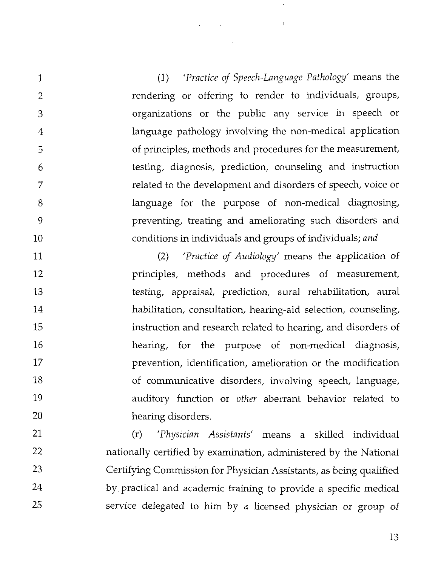(1) *'Practice of Speech-Language Pathology'* means the rendering or offering to render to individuals, groups, organizations or the public any service in speech or language pathology involving the non-medical application of principles, methods and procedures for the measurement, testing, diagnosis, prediction, counseling and instruction related to the development and disorders of speech, voice or language for the purpose of non-medical diagnosing, preventing, treating and ameliorating such disorders and conditions in individuals and groups of individuals; *and* 

 $\sim$ 

 $\mathbf{1}$ 

 $\overline{2}$ 

3

 $\overline{4}$ 

5

6

7

8

9

10

(2) *'Practice of Audiology'* means the application of 11  $12$ principles, methods and procedures of measurement, 13 testing, appraisal, prediction, aural rehabilitation, aural 14 habilitation, consultation, hearing-aid selection, counseling, 15 instruction and research related to hearing, and disorders of 16 hearing, for the purpose of non-medical diagnosis, 17 prevention, identification, amelioration or the modification 18 of communicative disorders, involving speech, language, 19 auditory function or *other* aberrant behavior related to 20 hearing disorders.

21 (r) *'Physician Assistants'* means a skilled individual 22 nationally certified by examination, administered by the National 23 Certifying Commission for Physician Assistants, as being qualified 24 by practical and academic training to provide a specific medical 25 service delegated to him by a licensed physician or group of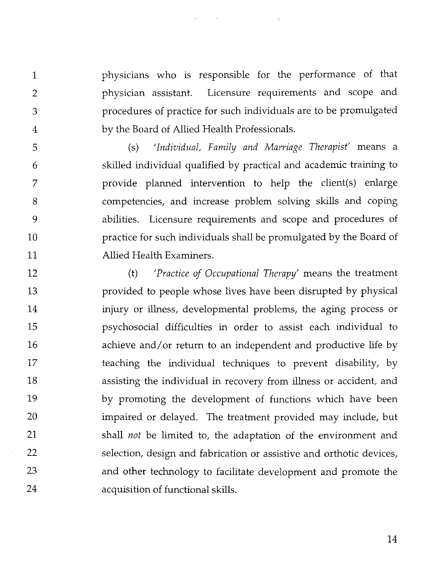physicians who is responsible for the performance of that physician assistant. Licensure requirements and scope and procedures of practice for such individuals are to be promulgated by the Board of Allied Health Professionals.

 $\mathbf{1}$ 

 $\overline{2}$ 

3

 $\overline{4}$ 

5

6

7

8

9

10

11

(s) *'Indiuidual, Family and Marriage Therapist'* means a skilled individual qualified by practical and academic training to provide planned intervention to help the client(s) enlarge competencies, and increase problem solving skills and coping abilities. Licensure requirements and scope and procedures of practice for such individuals shall be promulgated by the Board of Allied Health Examiners.

(t) *'Practice of Occupational Therapy'* means the treatment 12 13 provided to people whose lives have been disrupted by physical 14 injury or illness, developmental problems, the aging process or 15 psychosocial difficulties in order to assist each individual to 16 achieve and/or return to an independent and productive life by 17 teaching the individual techniques to prevent disability, by 18 assisting the individual in recovery from illness or accident, and 19 by promoting the development of functions which have been 20 impaired or delayed. The treatment provided may include, but 21 shall *not* be limited to, the adaptation of the environment and 22 selection, design and fabrication or assistive and orthotic devices, 23 and other technology to facilitate development and promote the 24 acquisition of functional skills.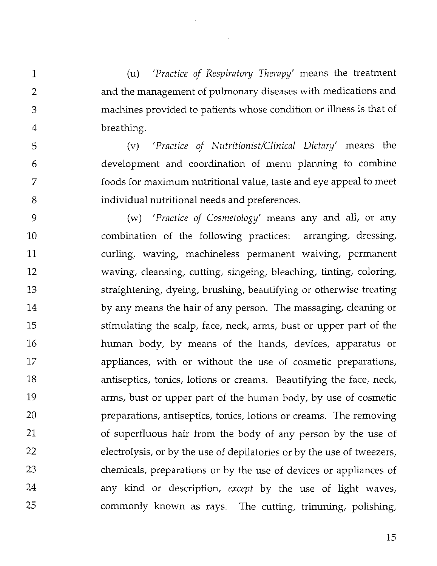(u) *'Practice of Respiratory Therapy'* means the treatment and the management of pulmonary diseases with medications and machines provided to patients whose condition or illness is that of breathing.

 $\mathbf 1$ 

 $\overline{2}$ 

3

 $\overline{4}$ 

5

6

7

8

(v) *'Practice of Nutritionist/Clinical Dietary'* means the development and coordination of menu planning to combine foods for maximum nutritional value, taste and eye appeal to meet individual nutritional needs and preferences.

9 (w) *'Practice of Cosmetology'* means any and all, or any combination of the following practices: arranging, dressing, 10 curling, waving, machineless permanent waiving, permanent 11 12 waving, cleansing, cutting, singeing, bleaching, tinting, coloring, 13 straightening, dyeing, brushing, beautifying or otherwise treating 14 by any means the hair of any person. The massaging, cleaning or stimulating the scalp, face, neck, arms, bust or upper part of the 15 16 human body, by means of the hands, devices, apparatus or 17 appliances, with or without the use of cosmetic preparations, 18 antiseptics, tonics, lotions or creams. Beautifying the face, neck, 19 arms, bust or upper part of the human body, by use of cosmetic 20 preparations, antiseptics, tonics, lotions or creams. The removing 21 of superfluous hair from the body of any person by the use of 22 electrolysis, or by the use of depilatories or by the use of tweezers, 23 chemicals, preparations or by the use of devices or appliances of 24 any kind or description, *except* by the use of light waves, 25 commonly known as rays. The cutting, trimming, polishing,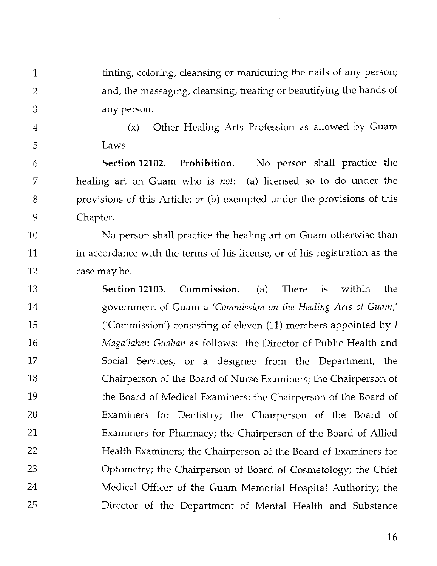tinting, coloring, cleansing or manicuring the nails of any person;  $\mathbf{1}$  $\overline{2}$ and, the massaging, cleansing, treating or beautifying the hands of 3 any person.

 $\overline{4}$ 

5

(x) Other Healing Arts Profession as allowed by Guam Laws.

**Section 12102. Prohibition.** No person shall practice the 6 7 healing art on Guam who is *not:* (a) licensed so to do under the provisions of this Article; *or* (b) exempted under the provisions of this 8 9 Chapter.

No person shall practice the healing art on Guam otherwise than 10 11 in accordance with the terms of his license, or of his registration as the 12 case may be.

13 **Section 12103. Commission.** (a) There is within the 14 government of Guam a *'Commission on the Healing Arts of Guam,'*  15 ('Commission') consisting of eleven (11) members appointed by *<sup>I</sup> Maga'lahen Guakan* as follows: the Director of Public Health and 16 17 Social Services, or a designee from the Department; the 18 Chairperson of the Board of Nurse Examiners; the Chairperson of 19 the Board of Medical Examiners; the Chairperson of the Board of 20 Examiners for Dentistry; the Chairperson of the Board of 21 Examiners for Pharmacy; the Chairperson of the Board of Allied 22 Health Examiners; the Chairperson of the Board of Examiners for 23 Optometry; the Chairperson of Board of Cosmetology; the Chief Medical Officer of the Guam Memorial Hospital Authority; the 24 25 Director of the Department of Mental Health and Substance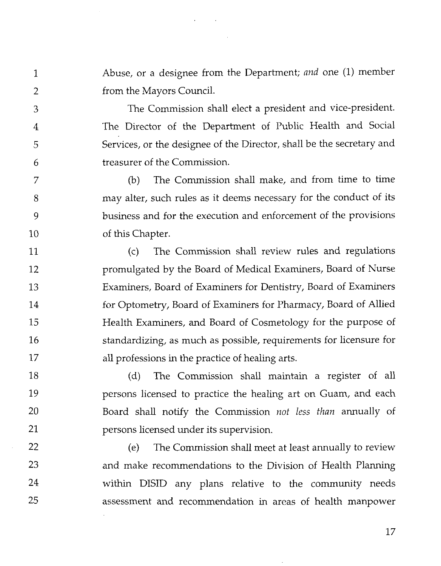Abuse, or a designee from the Department; and one (1) member from the Mayors Council.

1

 $\overline{2}$ 

3

 $\overline{4}$ 

5

6

7

8

9

 $10$ 

22

23

24

25

The Commission shall elect a president and vice-president. The Director of the Department of Public Health and Social Services, or the designee of the Director, shall be the secretary and treasurer of the Commission.

(b) The Commission shall make, and from time to time may alter, such rules as it deems necessary for the conduct of its business and for the execution and enforcement of the provisions of this Chapter.

(c) The Commission shall review rules and regulations  $11$ promulgated by the Board of Medical Examiners, Board of Nurse 12 13 Examiners, Board of Examiners for Dentistry, Board of Examiners 14 for Optometry, Board of Examiners for Pharmacy, Board of Allied Health Examiners, and Board of Cosmetology for the purpose of 15 16 standardizing, as much as possible, requirements for licensure for 17 all professions in the practice of healing arts.

18 (d) The Commission shall maintain a register of all 19 persons licensed to practice the healing art on Guam, and each  $20$ Board shall notify the Commission *not* less than annually of 21 persons licensed under its supervision.

> (e) The Commission shall meet at least annually to review and make recommendations to the Division of Health Planning within DISID any plans relative to the community needs assessment and recommendation in areas of health manpower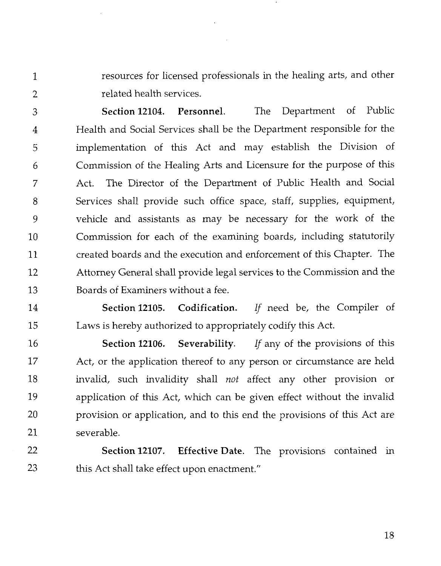resources for licensed professionals in the healing arts, and other related health services.

 $\mathbf{1}$ 

 $\overline{2}$ 

**Section 12104. Personnel.** The Department of Public 3 Health and Social Services shall be the Department responsible for the  $\overline{4}$ implementation of this Act and may establish the Division of 5 Commission of the Healing Arts and Licensure for the purpose of this 6 Act. The Director of the Department of Public Health and Social 7 8 Services shall provide such office space, staff, supplies, equipment, 9 vehicle and assistants as may be necessary for the work of the Commission for each of the examining boards, including statutorily 10 11 created boards and the execution and enforcement of this Chapter. The 12 Attorney General shall provide legal services to the Commission and the 13 Boards of Examiners without a fee.

14 **Section 12105. Codification.** If need be, the Compiler of 15 Laws is hereby authorized to appropriately codify this Act.

16 **Section 12106. Severability.** If any of the provisions of this 17 Act, or the application thereof to any person or circumstance are held 18 invalid, such invalidity shall not affect any other provision or 19 application of this Act, which can be given effect without the invalid 20 provision or application, and to this end the provisions of this Act are 21 severable.

22 **Section 12107. Effective Date.** The provisions contained in 23 this Act shall take effect upon enactment."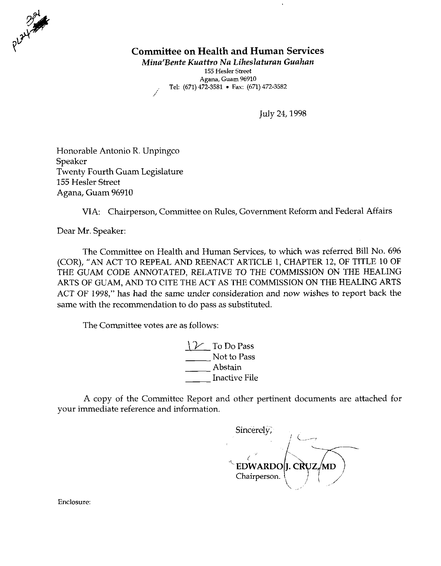

# **Committee on Health and Human Services**

MinafBente Kuattro Na Liheslaturan Guahan

155 **Hesler Street Agana, Guam 96910**  .. Tel: **(671) 472-3581** . **Fax: (671) 472-3582** ,,

July 24,1998

Honorable Antonio R. Unpingco Speaker Twenty Fourth Guam Legislature 155 Hesler Street Agana, Guam 96910

VIA: Chairperson, Committee on Rules, Government Reform and Federal Affairs

Dear Mr. Speaker:

The Committee on Health and Human Services, to which was referred Bill No. 696 (COR), "AN ACT TO REPEAL AND REENACT ARTICLE 1, CHAPTER 12, OF TITLE 10 OF THE GUAM CODE ANNOTATED, RELATIVE TO THE COMMISSION ON THE HEALING ARTS OF GUAM, AND TO CITE THE ACT AS THE COMMISSION ON THE HEALING ARTS ACT OF 1998," has had the same under consideration and now wishes to report back the same with the recommendation to do pass as substituted.

The Committee votes are as follows:

 $\mathcal V$  To Do Pass Not to Pass  $\frac{1}{2}$  do pass as subs<br>s follows:<br> $\frac{1}{2}$  To Do P<sub>i</sub><br> $\frac{1}{2}$  Not to P<br>Abstain<br>Inactive  $\frac{1}{2}$  To Do Pass<br>  $\frac{1}{2}$  To Do Pass<br>
Not to Pass<br>
Abstain<br>
Inactive File<br>
Penert and other r

A copy of the Committee Report and other pertinent documents are attached for your immediate reference and information.

Sincerely, <sup>1</sup>c.- **--I**   $\sim$ еги  $\frac{1}{2}$ Chairperson.

Enclosure: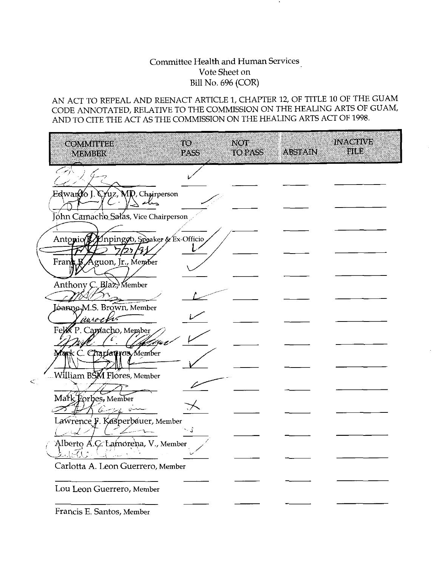## Committee Health and Human Services Vote Sheet on Bill No. 696 (COR)

# AN ACT TO REPEAL AND REENACT ARTICLE 1, CHAPTER 12, OF TITLE 10 OF THE GUAM CODE ANNOTATED, RELATIVE TO THE COMMISSION ON THE HEALING ARTS OF GUAM,

| <b>COMMUTEL</b><br><b>MEMBER</b>                   | TO 1<br><b>PASS</b> | <b>NOT</b><br>TO PASS | ABSTAIN | <b>INACTIVE</b><br>FILE |
|----------------------------------------------------|---------------------|-----------------------|---------|-------------------------|
|                                                    |                     |                       |         |                         |
| Edwan(Yo J. Cruz, MD, Chairperson<br>$\lambda$ she |                     |                       |         |                         |
| John Camacho Salas, Vice Chairperson               |                     |                       |         |                         |
| Antonio y/npingoo, Speaker & Ex-Officio            |                     |                       |         |                         |
| Frank Ø Aguon, Jr., Menter                         |                     |                       |         |                         |
| Anthony C. Blaz, Member                            |                     |                       |         |                         |
| <b>Ganne M.S. Brown</b> , Member                   |                     |                       |         |                         |
| awoch<br>Felix P. Cappiacho, Member                |                     |                       |         |                         |
| fank C. Chartauros Member                          |                     |                       |         |                         |
| William BSM Flores, Member                         |                     |                       |         |                         |
| Mark Forbes, Member                                |                     |                       |         |                         |
| 6<br>ーショー い<br>Lawrence F. Kasperbauer, Member     |                     |                       |         |                         |
|                                                    | $\sim$ $\int$       |                       |         |                         |
| Alberto A.C. Lamorena, V., Member                  |                     |                       |         |                         |
| Carlotta A. Leon Guerrero, Member                  |                     |                       |         |                         |
| Lou Leon Guerrero, Member                          |                     |                       |         |                         |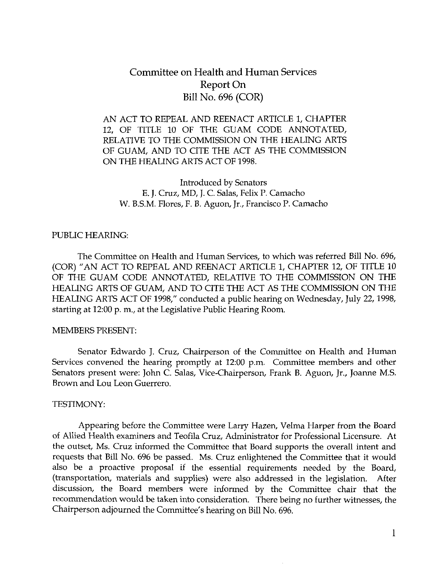# Committee on Health and Human Services Report On Bill No. 696 (COR)

AN ACT TO REPEAL AND REENACT ARTICLE 1, CHAPTER 12, OF TITLE 10 OF THE GUAM CODE ANNOTATED, RELATIVE TO THE COMMISSION ON THE HEALING ARTS OF GUAM, AND TO CITE THE ACT AS THE COMMISSION ON THE HEALING ARTS ACT OF 1998.

Introduced by Senators E. J. Cruz, MD, J. C. Salas, Felix P. Camacho W. B.S.M. Flores, F. B. Aguon, Jr., Francisco P. Camacho

#### PUBLIC HEARING:

The Committee on Health and Human Services, to which was referred Bill NO. 696, (COR) "AN ACT TO REPEAL AND REENACT ARTICLE 1, CHAPTER 12, OF TITLE 10 OF THE GUAM CODE ANNOTATED, RELATIVE TO THE COMMISSION ON THE HEALING ARTS OF GUAM, AND TO CITE THE ACT AS THE COMMISSION ON THE HEALING ARTS ACT OF 1998," conducted a public hearing on Wednesday, July 22,1998, starting at 12:00 p. m., at the Legislative Public Hearing Room.

#### MEMBERS PRESENT:

Senator Edwardo J. Cruz, Chairperson of the Committee on Health and Human Services convened the hearing promptly at 1200 p.m. Committee members and other Senators present were: John C. Salas, Vice-Chairperson, Frank B. Aguon, Jr., Joanne M.S. Brown and Lou Leon Guerrero.

#### TESTIMONY:

Appearing before the Committee were Larry Hazen, Velma Harper from the Board of Allied Health examiners and Teofila Cruz, Administrator for Professional Licensure. At the outset, Ms. Cruz informed the Committee that Board supports the overall intent and requests that Bill No. 696 be passed. Ms. Cruz enlightened the Committee that it would also be a proactive proposal if the essential requirements needed by the Board, (transportation, materials and supplies) were also addressed in the legislation. After discussion, the Board members were informed by the Committee chair that the recommendation would be taken into consideration. There being no further witnesses, the Chairperson adjourned the Committee's hearing on Bill No. 696.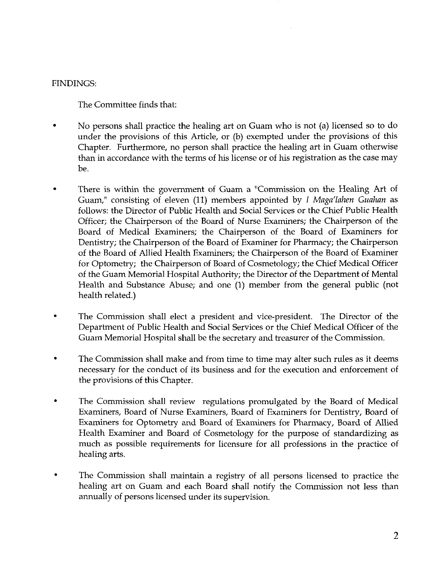### FINDINGS:

The Committee finds that:

- No persons shall practice the healing art on Guam who is not (a) licensed so to do under the provisions of this Article, or (b) exempted under the provisions of this Chapter. Furthermore, no person shall practice the healing art in Guam otherwise than in accordance with the terms of his license or of his registration as the case may be.
- There is within the government of Guam a "Commission on the Healing Art of Guam," consisting of eleven (11) members appointed by *I* Maga'lahen Guahan as follows: the Director of Public Health and Social Services or the Chief Public Health Officer; the Chairperson of the Board of Nurse Examiners; the Chairperson of the Board of Medical Examiners; the Chairperson of the Board of Examiners for Dentistry; the Chairperson of the Board of Examiner for Pharmacy; the Chairperson of the Board of Allied Health Examiners; the Chairperson of the Board of Examiner for Optometry; the Chairperson of Board of Cosmetology; the Chief Medical Officer of the Guam Memorial Hospital Authority; the Director of the Department of Mental Health and Substance Abuse; and one (1) member from the general public (not health related.)
- . The Commission shall elect a president and vice-president. The Director of the Department of Public Health and Social Services or the Chief Medical Officer of the Guam Memorial Hospital shall be the secretary and treasurer of the Commission.
- . The Commission shall make and from time to time may alter such rules as it deems necessary for the conduct of its business and for the execution and enforcement of the provisions of this Chapter.
- . The Commission shall review regulations promulgated by the Board of Medical Examiners, Board of Nurse Examiners, Board of Examiners for Dentistry, Board of Examiners for Optometry and Board of Examiners for Pharmacy, Board of Allied Health Examiner and Board of Cosmetology for the purpose of standardizing as much as possible requirements for licensure for all professions in the practice of healing arts.
- . The Commission shall maintain a registry of all persons licensed to practice the healing art on Guam and each Board shall notify the Commission not less than annually of persons licensed under its supervision.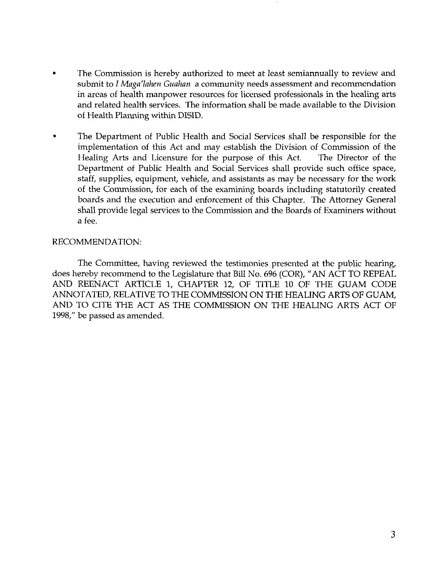- . The Commission is hereby authorized to meet at least semiannually to review and submit to I *Maga'lahen Guahan* a community needs assessment and recommendation in areas of health manpower resources for licensed professionals in the healing arts and related health services. The information shall be made available to the Division of Health Planning within DISID.
- The Department of Public Health and Social Services shall be responsible for the implementation of this Act and may establish the Division of Commission of the Healing Arts and Licensure for the purpose of this Act. The Director of the Department of Public Health and Social Services shall provide such office space, staff, supplies, equipment, vehicle, and assistants as may be necessary for the work of the Commission, for each of the examining boards including statutorily created boards and the execution and enforcement of this Chapter. The Attorney General shall provide legal services to the Commission and the Boards of Examiners without a fee.

#### RECOMMENDATION:

The Committee, having reviewed the testimonies presented at the public hearing, does hereby recommend to the Legislature that Bill No. 696 (COR), "AN ACT TO REPEAL AND REENACT ARTICLE 1, CHAPTER 12, OF TITLE 10 OF THE GUAM CODE ANNOTATED, RELATIVE TO THE COMMISSION ON THE HEALING ARTS OF GUAM, AND TO CITE THE ACT AS THE COMMISSION ON THE HEALING ARTS ACT OF 1998," be passed as amended.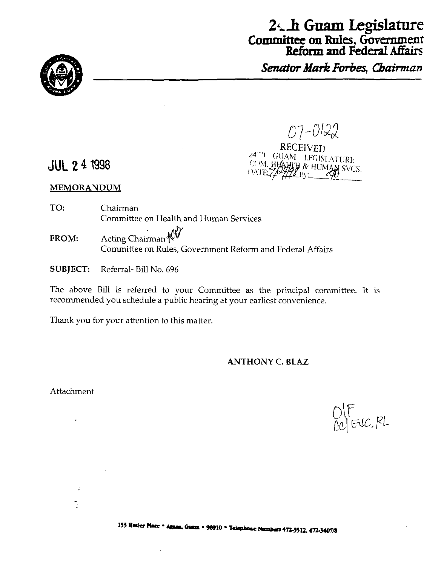

**Reform and Federal** Affairs **Senator Mark Forbes, Chairman** 



# $07 - 0122$ RECEIVED 24TH GUAM LEGISLATURE

**HALL & HUMAN SVCS.** 

# JUL **2 4 1998**

#### **MEMORANDUM**

- **TO:** Chairman Committee on Health and Human Services FROM: Acting Chairman Committee on Rules, Government Reform and Federal Affairs
- SUBJECT: Referral- Bill No. 696

The above Bill is referred to your Committee as the principal committee. It is recommended you schedule a public hearing at your earliest convenience.

Thank you for your attention to this matter.

#### **ANTHONY C. BLAZ**

COM. HHZ

Attachment

 $\varphi$  .

 $O(F$ <br> $O(C)$  EVC, RL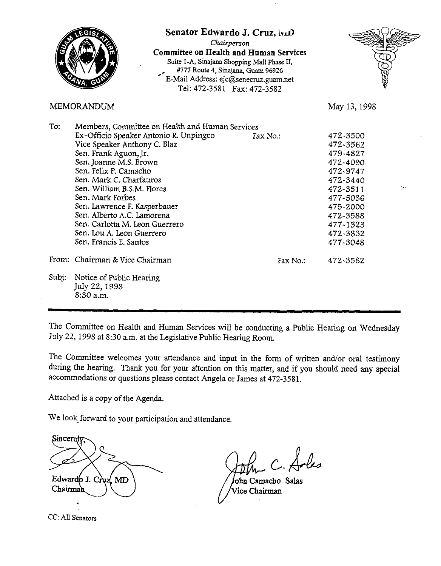

The Committee on Health and Human Services will be conducting a Public Hearing on Wednesday July 22, 1998 at 8:30 a.m. at the Legislative Public Hearing Room.

The Committee welcomes your attendance and input in the form of written and/or oral testimony during the hearing. Thank you for your attention on this matter, and if you should need any special accommodations or questions please contact Angela or James at 472-3581.

Attached is a copy of the Agenda.

We look forward to your participation and attendance.

Sincere Edwardo J. Cruz **MD** Chairman

John Camacho Salas Vice Chairman

CC: All Senators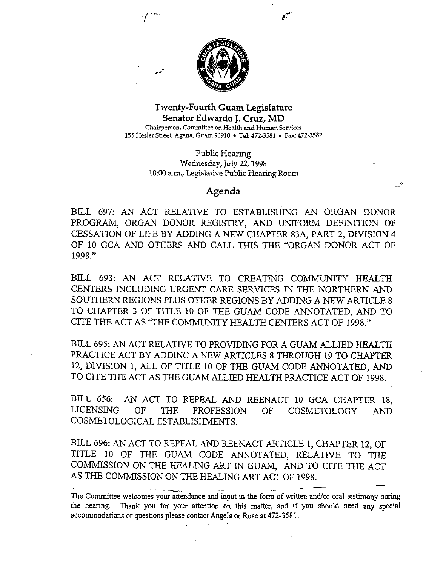

#### Twenty-Fourth Guam Legislature Senator **Edwardo** J. **Cruz, MD**  Chairperson, Committee on Health and Human **Services <sup>155</sup>**Hesler **Sheet, Agana,** Guam 96910 Tel: **472-3581** . Fax: **472-3582**

Public Hearing Wednesday, July 22,1998 10:OO a.m., Legislative Public Hearing Room

#### **Agenda**

BILL 697: AN ACT RELATIVE TO ESTABLISHING AN ORGAN DONOR PROGRAM, ORGAN DONOR REGISTRY, AND UNIFORM DEFINITION OF CESSATION OF LIFE BY ADDING A NEW CHAPTER 83A, PART 2, DIVISION 4 OF 10 GCA AND OTHERS AND CALL THIS THE "ORGAN DONOR ACT OF 1998."

ىپ

BILL 693: AN ACT RELATIVE TO CREATING COMMUNITY HEALTH CENTERS INCLUDING URGENT CARE SERVICES IN THE NORTHERN AND SOUTHERN REGIONS PLUS OTHER REGIONS BY ADDING A NEW ARTICLE 8 TO CHAPTER 3 OF TITLE 10 OF THE GUAM CODE ANNOTATED, AND TO CITE THE ACT AS "THE COMMUNITY HEALTH CENTERS ACT OF 1998."

BILL 695: AN ACT RELATIVE TO PROVIDING FOR A GUAM ALLIED HEALTH PRACTICE ACT BY ADDING A NEW ARTICLES **8** THROUGH 19 TO CHAPTER 12, DIVISION 1, ALL OF TITLE 10 OF THE GUAM CODE ANNOTATED, AND TO CITE THE ACT AS THE GUAM ALLIED HEALTH PRACTICE ACT OF 1998.

BILL 656: AN ACT TO REPEAL AND REENACT 10 GCA CHAPTER 18, LICENSING OF THE PROFESSION OF COSMETOLOGY AND COSMETOLOGICAL ESTABLISHMENTS.

BILL 696: AN ACT TO REPEAL AND REENACT ARTICLE 1, CHAPTER 12, OF TITLE 10 OF THE GUAM CODE ANNOTATED, RELATIVE TO THE COMMISSION ON THE HEALING ART IN GUAM, AND TO CITE THE ACT AS THE COMMISSION ON THE HEALING ART ACT OF 1998. E HEALING ART IN GUAM, AND TO C<br>ON THE HEALING ART ACT OF 1998. -

The Committee welcomes your attendance and input in the form of written and/or oral testimony during the hearing. Thank you for your attention on this matter, and if you should need any special accommodations or questions please contact Angela or Rose at 472-3581.